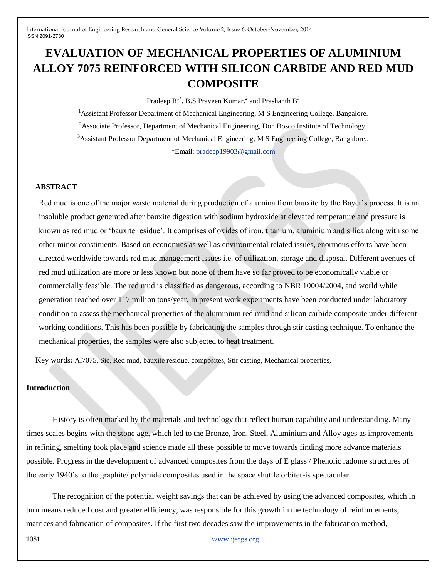# **EVALUATION OF MECHANICAL PROPERTIES OF ALUMINIUM ALLOY 7075 REINFORCED WITH SILICON CARBIDE AND RED MUD COMPOSITE**

Pradeep  $R^{1*}$ , B.S Praveen Kumar.<sup>2</sup> and Prashanth B<sup>3</sup>

 $<sup>1</sup>$ Assistant Professor Department of Mechanical Engineering, M S Engineering College, Bangalore.</sup> <sup>2</sup>Associate Professor, Department of Mechanical Engineering, Don Bosco Institute of Technology, <sup>3</sup>Assistant Professor Department of Mechanical Engineering, M S Engineering College, Bangalore.. \*Email: [pradeep19903@gmail.com](mailto:pradeep19903@gmail.com)

### **ABSTRACT**

Red mud is one of the major waste material during production of alumina from bauxite by the Bayer's process. It is an insoluble product generated after bauxite digestion with sodium hydroxide at elevated temperature and pressure is known as red mud or "bauxite residue". It comprises of oxides of iron, titanium, aluminium and silica along with some other minor constituents. Based on economics as well as environmental related issues, enormous efforts have been directed worldwide towards red mud management issues i.e. of utilization, storage and disposal. Different avenues of red mud utilization are more or less known but none of them have so far proved to be economically viable or commercially feasible. The red mud is classified as dangerous, according to NBR 10004/2004, and world while generation reached over 117 million tons/year. In present work experiments have been conducted under laboratory condition to assess the mechanical properties of the aluminium red mud and silicon carbide composite under different working conditions. This has been possible by fabricating the samples through stir casting technique. To enhance the mechanical properties, the samples were also subjected to heat treatment.

Key words**:** Al7075, Sic, Red mud, bauxite residue, composites, Stir casting, Mechanical properties,

#### **Introduction**

History is often marked by the materials and technology that reflect human capability and understanding. Many times scales begins with the stone age, which led to the Bronze, Iron, Steel, Aluminium and Alloy ages as improvements in refining, smelting took place and science made all these possible to move towards finding more advance materials possible. Progress in the development of advanced composites from the days of E glass / Phenolic radome structures of the early 1940"s to the graphite/ polymide composites used in the space shuttle orbiter-is spectacular.

The recognition of the potential weight savings that can be achieved by using the advanced composites, which in turn means reduced cost and greater efficiency, was responsible for this growth in the technology of reinforcements, matrices and fabrication of composites. If the first two decades saw the improvements in the fabrication method,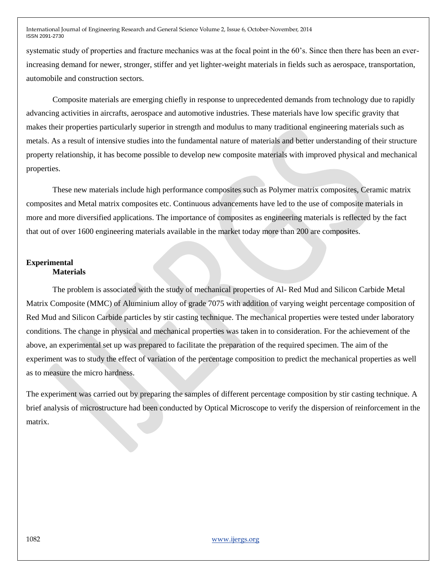systematic study of properties and fracture mechanics was at the focal point in the 60"s. Since then there has been an everincreasing demand for newer, stronger, stiffer and yet lighter-weight materials in fields such as aerospace, transportation, automobile and construction sectors.

Composite materials are emerging chiefly in response to unprecedented demands from technology due to rapidly advancing activities in aircrafts, aerospace and automotive industries. These materials have low specific gravity that makes their properties particularly superior in strength and modulus to many traditional engineering materials such as metals. As a result of intensive studies into the fundamental nature of materials and better understanding of their structure property relationship, it has become possible to develop new composite materials with improved physical and mechanical properties.

These new materials include high performance composites such as Polymer matrix composites, Ceramic matrix composites and Metal matrix composites etc. Continuous advancements have led to the use of composite materials in more and more diversified applications. The importance of composites as engineering materials is reflected by the fact that out of over 1600 engineering materials available in the market today more than 200 are composites.

## **Experimental Materials**

The problem is associated with the study of mechanical properties of Al- Red Mud and Silicon Carbide Metal Matrix Composite (MMC) of Aluminium alloy of grade 7075 with addition of varying weight percentage composition of Red Mud and Silicon Carbide particles by stir casting technique. The mechanical properties were tested under laboratory conditions. The change in physical and mechanical properties was taken in to consideration. For the achievement of the above, an experimental set up was prepared to facilitate the preparation of the required specimen. The aim of the experiment was to study the effect of variation of the percentage composition to predict the mechanical properties as well as to measure the micro hardness.

The experiment was carried out by preparing the samples of different percentage composition by stir casting technique. A brief analysis of microstructure had been conducted by Optical Microscope to verify the dispersion of reinforcement in the matrix.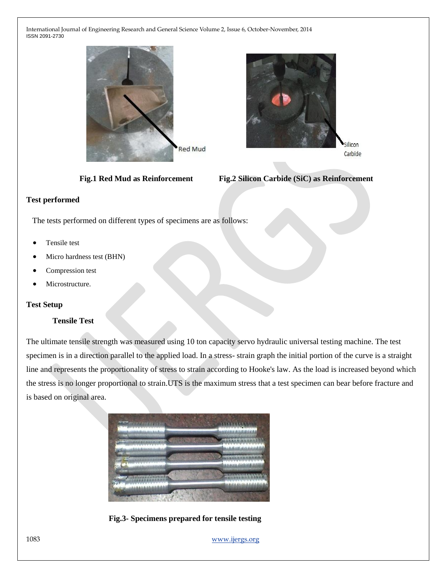



 **Fig.1 Red Mud as Reinforcement Fig.2 Silicon Carbide (SiC) as Reinforcement**

# **Test performed**

The tests performed on different types of specimens are as follows:

- Tensile test
- Micro hardness test (BHN)
- Compression test
- Microstructure.

# **Test Setup**

# **Tensile Test**

The ultimate tensile strength was measured using 10 ton capacity servo hydraulic universal testing machine. The test specimen is in a direction parallel to the applied load. In a stress- strain graph the initial portion of the curve is a straight line and represents the proportionality of stress to strain according to Hooke's law. As the load is increased beyond which the stress is no longer proportional to strain.UTS is the maximum stress that a test specimen can bear before fracture and is based on original area.





1083 www.ijergs.org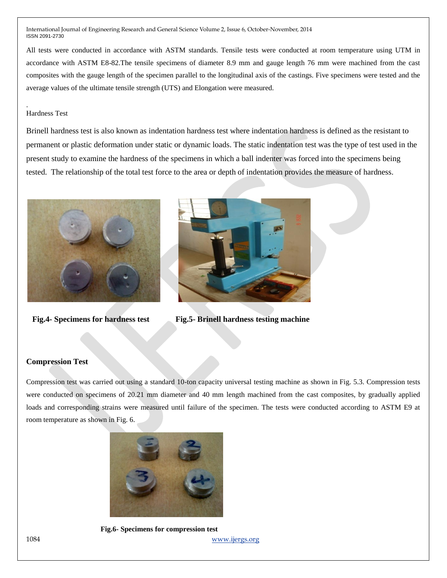All tests were conducted in accordance with ASTM standards. Tensile tests were conducted at room temperature using UTM in accordance with ASTM E8-82.The tensile specimens of diameter 8.9 mm and gauge length 76 mm were machined from the cast composites with the gauge length of the specimen parallel to the longitudinal axis of the castings. Five specimens were tested and the average values of the ultimate tensile strength (UTS) and Elongation were measured.

## Hardness Test

.

Brinell hardness test is also known as indentation hardness test where indentation hardness is defined as the resistant to permanent or plastic deformation under static or dynamic loads. The static indentation test was the type of test used in the present study to examine the hardness of the specimens in which a ball indenter was forced into the specimens being tested. The relationship of the total test force to the area or depth of indentation provides the measure of hardness.





**Fig.4- Specimens for hardness test Fig.5- Brinell hardness testing machine**

#### **Compression Test**

Compression test was carried out using a standard 10-ton capacity universal testing machine as shown in Fig. 5.3. Compression tests were conducted on specimens of 20.21 mm diameter and 40 mm length machined from the cast composites, by gradually applied loads and corresponding strains were measured until failure of the specimen. The tests were conducted according to ASTM E9 at room temperature as shown in Fig. 6.



1084 www.ijergs.org  **Fig.6- Specimens for compression test**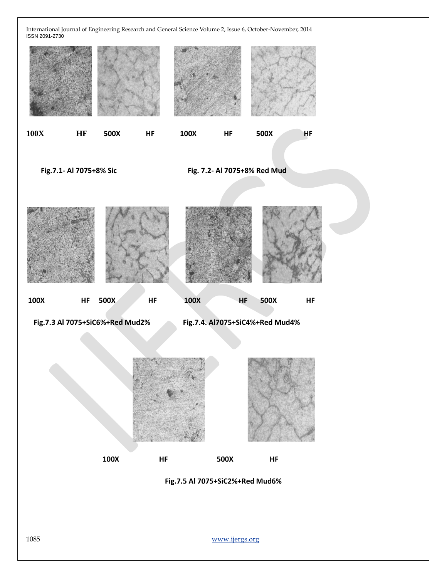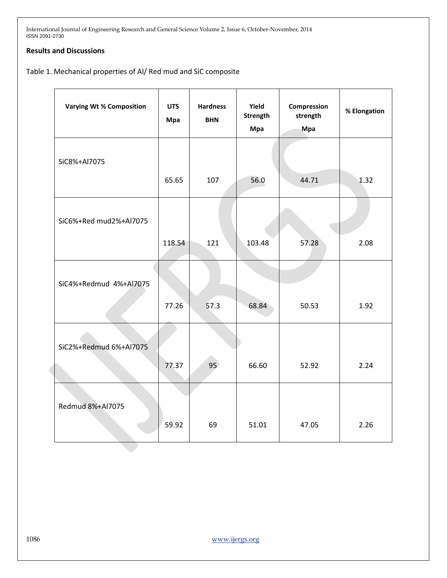# **Results and Discussions**

Table 1. Mechanical properties of Al/ Red mud and SiC composite

|  | <b>Varying Wt% Composition</b> | <b>UTS</b><br><b>Mpa</b> | <b>Hardness</b><br><b>BHN</b> | Yield<br>Strength<br>Mpa | Compression<br>strength<br>Mpa | % Elongation |
|--|--------------------------------|--------------------------|-------------------------------|--------------------------|--------------------------------|--------------|
|  | SiC8%+Al7075                   | 65.65                    | 107                           | 56.0                     | 44.71                          | 1.32         |
|  | SiC6%+Red mud2%+Al7075         | 118.54                   | 121                           | 103.48                   | 57.28                          | 2.08         |
|  | SiC4%+Redmud 4%+Al7075         |                          |                               |                          |                                |              |
|  |                                | 77.26                    | 57.3                          | 68.84                    | 50.53                          | 1.92         |
|  | SiC2%+Redmud 6%+Al7075         | 77.37                    | 95                            | 66.60                    | 52.92                          | 2.24         |
|  | Redmud 8%+Al7075               | 59.92                    | 69                            | 51.01                    | 47.05                          | 2.26         |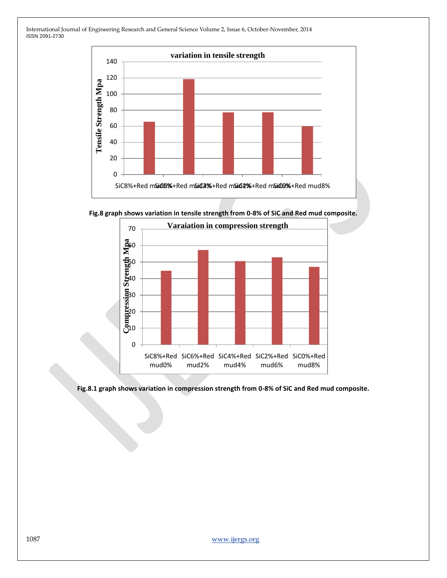

**Fig.8 graph shows variation in tensile strength from 0-8% of SiC and Red mud composite.**



**Fig.8.1 graph shows variation in compression strength from 0-8% of SiC and Red mud composite.**